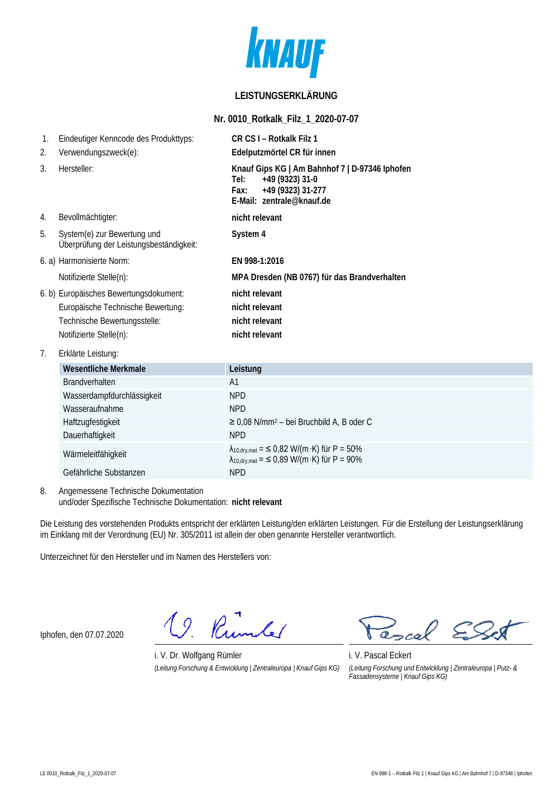

# **LEISTUNGSERKLÄRUNG**

#### **Nr. 0010\_Rotkalk\_Filz\_1\_2020-07-07**

| $\mathbf{1}$ .<br>2. | Eindeutiger Kenncode des Produkttyps:                                  | CR CS I - Rotkalk Filz 1                                                                                                            |
|----------------------|------------------------------------------------------------------------|-------------------------------------------------------------------------------------------------------------------------------------|
|                      | Verwendungszweck(e):                                                   | Edelputzmörtel CR für innen                                                                                                         |
| 3.                   | Hersteller:                                                            | Knauf Gips KG   Am Bahnhof 7   D-97346 Iphofen<br>+49 (9323) 31-0<br>Tel:<br>+49 (9323) 31-277<br>Fax:<br>F-Mail: zentrale@knauf.de |
| 4.                   | Bevollmächtigter:                                                      | nicht relevant                                                                                                                      |
| 5.                   | System(e) zur Bewertung und<br>Überprüfung der Leistungsbeständigkeit: | System 4                                                                                                                            |
|                      | 6. a) Harmonisierte Norm:                                              | EN 998-1:2016                                                                                                                       |
|                      | Notifizierte Stelle(n):                                                | MPA Dresden (NB 0767) für das Brandverhalten                                                                                        |
|                      | 6. b) Europäisches Bewertungsdokument:                                 | nicht relevant                                                                                                                      |
|                      | Europäische Technische Bewertung:                                      | nicht relevant                                                                                                                      |
|                      | Technische Bewertungsstelle:                                           | nicht relevant                                                                                                                      |
|                      | Notifizierte Stelle(n):                                                | nicht relevant                                                                                                                      |
| 7 <sub>1</sub>       | Erklärte Leistung:                                                     |                                                                                                                                     |
|                      | <b>Wesentliche Merkmale</b>                                            | Leistung                                                                                                                            |
|                      | <b>Brandverhalten</b>                                                  | A <sub>1</sub>                                                                                                                      |
|                      | Wasserdampfdurchlässigkeit                                             | <b>NPD</b>                                                                                                                          |
|                      | Wasseraufnahme                                                         | <b>NPD</b>                                                                                                                          |
|                      | Haftzugfestigkeit                                                      | $\geq$ 0,08 N/mm <sup>2</sup> – bei Bruchbild A, B oder C                                                                           |

Dauerhaftigkeit NPD Wärmeleitfähigkeit  $\lambda_{10,\text{dyn,mat}} = 6.932 \text{ W/(m·K)}$  für P = 50%  $\lambda_{10, dry, mat} =$  ≤ 0,89 W/(m·K) für P = 90% Gefährliche Substanzen NPD

#### 8. Angemessene Technische Dokumentation und/oder Spezifische Technische Dokumentation: **nicht relevant**

Die Leistung des vorstehenden Produkts entspricht der erklärten Leistung/den erklärten Leistungen. Für die Erstellung der Leistungserklärung im Einklang mit der Verordnung (EU) Nr. 305/2011 ist allein der oben genannte Hersteller verantwortlich.

Unterzeichnet für den Hersteller und im Namen des Herstellers von:

Iphofen, den 07.07.2020

Rumber  $\overline{Q}$ 

i. V. Dr. Wolfgang Rümler i. V. Pascal Eckert *(Leitung Forschung & Entwicklung | Zentraleuropa | Knauf Gips KG) (Leitung Forschung und Entwicklung | Zentraleuropa | Putz- &* 

 $\overline{\circ}$ . ocal

*Fassadensysteme | Knauf Gips KG)*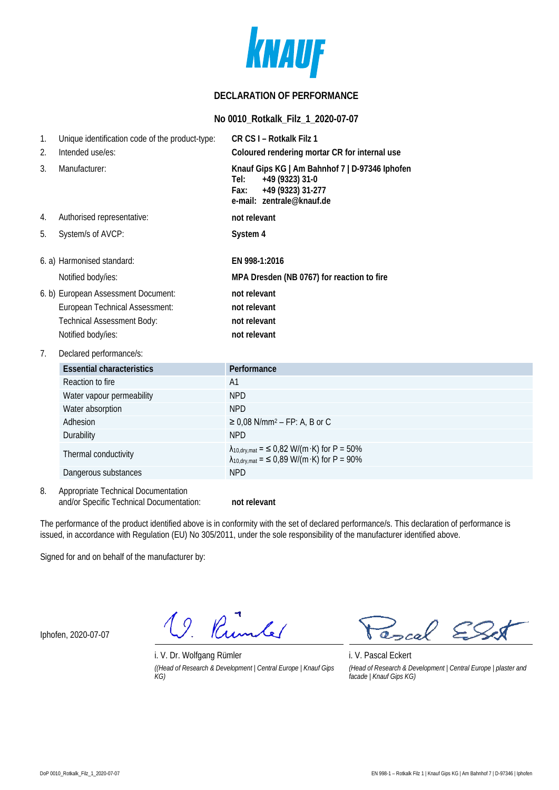

### **DECLARATION OF PERFORMANCE**

### **No 0010\_Rotkalk\_Filz\_1\_2020-07-07**

| 1.<br>2.      | Unique identification code of the product-type:<br>Intended use/es: | CR CS I - Rotkalk Filz 1<br>Coloured rendering mortar CR for internal use                                                           |
|---------------|---------------------------------------------------------------------|-------------------------------------------------------------------------------------------------------------------------------------|
| $\mathcal{R}$ | Manufacturer:                                                       | Knauf Gips KG   Am Bahnhof 7   D-97346 Iphofen<br>+49 (9323) 31-0<br>Tel:<br>+49 (9323) 31-277<br>Fax:<br>e-mail: zentrale@knauf.de |
| 4.            | Authorised representative:                                          | not relevant                                                                                                                        |
| 5.            | System/s of AVCP:                                                   | System 4                                                                                                                            |
|               | 6. a) Harmonised standard:                                          | EN 998-1:2016                                                                                                                       |
|               | Notified body/ies:                                                  | MPA Dresden (NB 0767) for reaction to fire                                                                                          |
|               | 6. b) European Assessment Document:                                 | not relevant                                                                                                                        |
|               | European Technical Assessment:                                      | not relevant                                                                                                                        |
|               | <b>Technical Assessment Body:</b>                                   | not relevant                                                                                                                        |
|               | Notified body/ies:                                                  | not relevant                                                                                                                        |

### 7. Declared performance/s:

| <b>Essential characteristics</b> | Performance                                                                                                           |
|----------------------------------|-----------------------------------------------------------------------------------------------------------------------|
| Reaction to fire                 | A1                                                                                                                    |
| Water vapour permeability        | <b>NPD</b>                                                                                                            |
| Water absorption                 | <b>NPD</b>                                                                                                            |
| Adhesion                         | $\geq$ 0,08 N/mm <sup>2</sup> – FP: A, B or C                                                                         |
| Durability                       | <b>NPD</b>                                                                                                            |
| Thermal conductivity             | $\lambda_{10, dry, mat} =$ < 0,82 W/(m·K) for P = 50%<br>$\lambda_{10, \text{dry, mat}} =$ < 0,89 W/(m·K) for P = 90% |
| Dangerous substances             | <b>NPD</b>                                                                                                            |

8. Appropriate Technical Documentation and/or Specific Technical Documentation: **not relevant**

The performance of the product identified above is in conformity with the set of declared performance/s. This declaration of performance is issued, in accordance with Regulation (EU) No 305/2011, under the sole responsibility of the manufacturer identified above.

Signed for and on behalf of the manufacturer by:

Iphofen, 2020-07-07

19. Rumler

i. V. Dr. Wolfgang Rümler i. V. Pascal Eckert *((Head of Research & Development | Central Europe | Knauf Gips KG)*

ascal

*(Head of Research & Development | Central Europe | plaster and facade | Knauf Gips KG)*